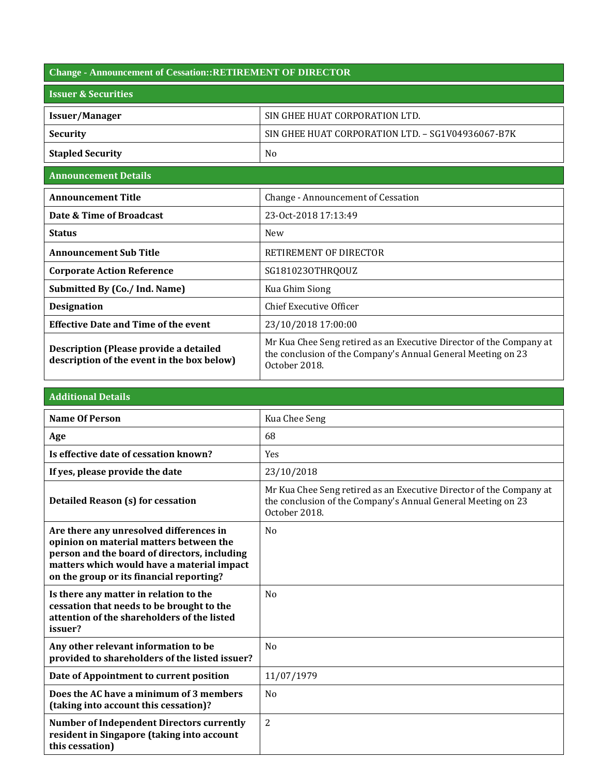| <b>Change - Announcement of Cessation::RETIREMENT OF DIRECTOR</b>                    |                                                                                                                                                      |  |
|--------------------------------------------------------------------------------------|------------------------------------------------------------------------------------------------------------------------------------------------------|--|
| <b>Issuer &amp; Securities</b>                                                       |                                                                                                                                                      |  |
| <b>Issuer/Manager</b>                                                                | SIN GHEE HUAT CORPORATION LTD.                                                                                                                       |  |
| <b>Security</b>                                                                      | SIN GHEE HUAT CORPORATION LTD. - SG1V04936067-B7K                                                                                                    |  |
| <b>Stapled Security</b>                                                              | N <sub>0</sub>                                                                                                                                       |  |
| <b>Announcement Details</b>                                                          |                                                                                                                                                      |  |
| <b>Announcement Title</b>                                                            | <b>Change - Announcement of Cessation</b>                                                                                                            |  |
| Date & Time of Broadcast                                                             | 23-0ct-2018 17:13:49                                                                                                                                 |  |
| <b>Status</b>                                                                        | <b>New</b>                                                                                                                                           |  |
| <b>Announcement Sub Title</b>                                                        | RETIREMENT OF DIRECTOR                                                                                                                               |  |
| <b>Corporate Action Reference</b>                                                    | SG1810230THRQOUZ                                                                                                                                     |  |
| Submitted By (Co./ Ind. Name)                                                        | Kua Ghim Siong                                                                                                                                       |  |
| <b>Designation</b>                                                                   | <b>Chief Executive Officer</b>                                                                                                                       |  |
| <b>Effective Date and Time of the event</b>                                          | 23/10/2018 17:00:00                                                                                                                                  |  |
| Description (Please provide a detailed<br>description of the event in the box below) | Mr Kua Chee Seng retired as an Executive Director of the Company at<br>the conclusion of the Company's Annual General Meeting on 23<br>October 2018. |  |

## **Additional Details**

| <b>Name Of Person</b>                                                                                                                                                                                                        | Kua Chee Seng                                                                                                                                        |
|------------------------------------------------------------------------------------------------------------------------------------------------------------------------------------------------------------------------------|------------------------------------------------------------------------------------------------------------------------------------------------------|
| Age                                                                                                                                                                                                                          | 68                                                                                                                                                   |
| Is effective date of cessation known?                                                                                                                                                                                        | Yes                                                                                                                                                  |
| If yes, please provide the date                                                                                                                                                                                              | 23/10/2018                                                                                                                                           |
| <b>Detailed Reason (s) for cessation</b>                                                                                                                                                                                     | Mr Kua Chee Seng retired as an Executive Director of the Company at<br>the conclusion of the Company's Annual General Meeting on 23<br>October 2018. |
| Are there any unresolved differences in<br>opinion on material matters between the<br>person and the board of directors, including<br>matters which would have a material impact<br>on the group or its financial reporting? | N <sub>0</sub>                                                                                                                                       |
| Is there any matter in relation to the<br>cessation that needs to be brought to the<br>attention of the shareholders of the listed<br>issuer?                                                                                | N <sub>0</sub>                                                                                                                                       |
| Any other relevant information to be<br>provided to shareholders of the listed issuer?                                                                                                                                       | N <sub>o</sub>                                                                                                                                       |
| Date of Appointment to current position                                                                                                                                                                                      | 11/07/1979                                                                                                                                           |
| Does the AC have a minimum of 3 members<br>(taking into account this cessation)?                                                                                                                                             | N <sub>0</sub>                                                                                                                                       |
| <b>Number of Independent Directors currently</b><br>resident in Singapore (taking into account<br>this cessation)                                                                                                            | $\overline{2}$                                                                                                                                       |